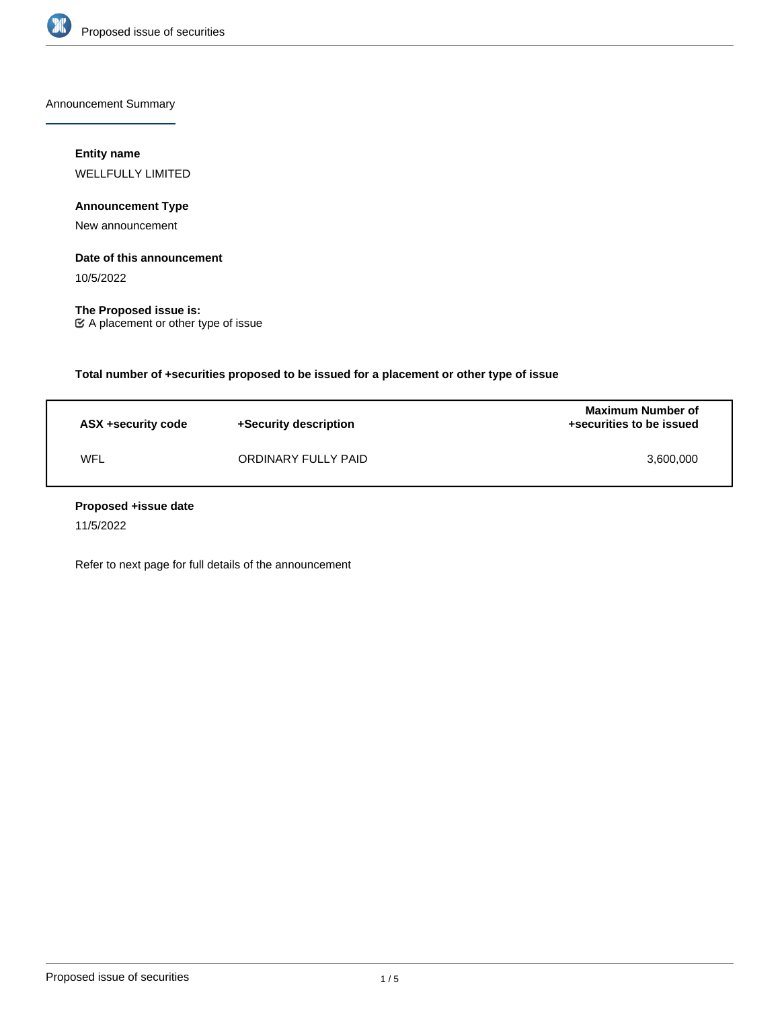

Announcement Summary

### **Entity name**

WELLFULLY LIMITED

## **Announcement Type**

New announcement

### **Date of this announcement**

10/5/2022

**The Proposed issue is:** A placement or other type of issue

**Total number of +securities proposed to be issued for a placement or other type of issue**

| ASX +security code | +Security description | <b>Maximum Number of</b><br>+securities to be issued |
|--------------------|-----------------------|------------------------------------------------------|
| WFL                | ORDINARY FULLY PAID   | 3.600.000                                            |

### **Proposed +issue date**

11/5/2022

Refer to next page for full details of the announcement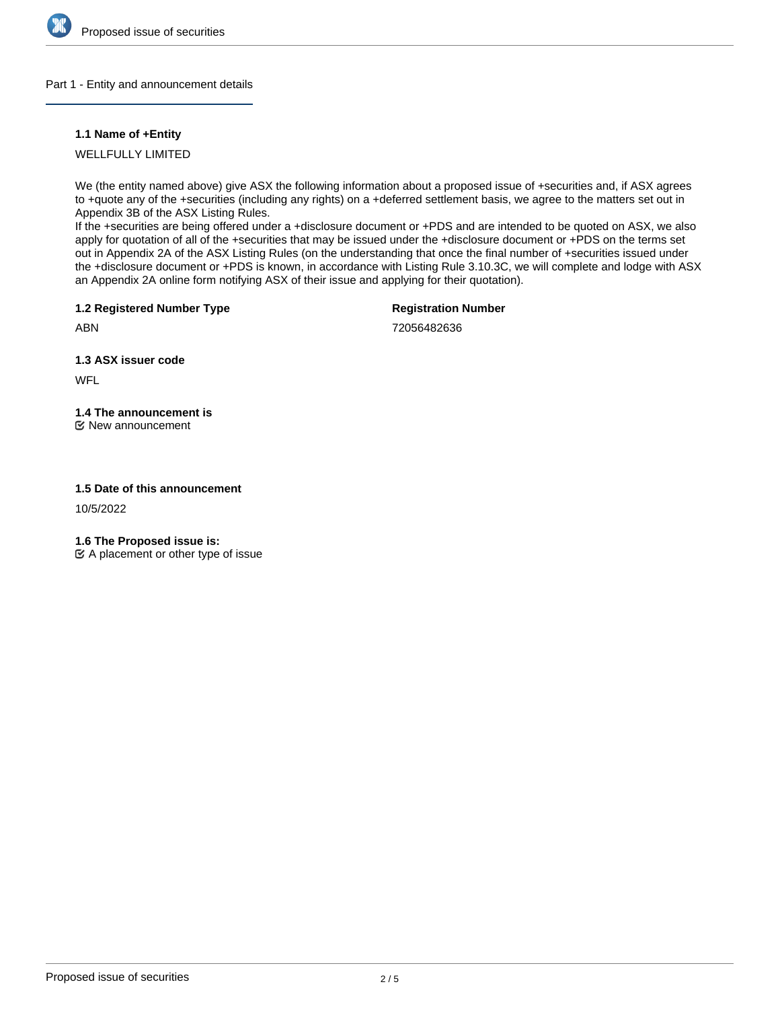

### Part 1 - Entity and announcement details

### **1.1 Name of +Entity**

WELLFULLY LIMITED

We (the entity named above) give ASX the following information about a proposed issue of +securities and, if ASX agrees to +quote any of the +securities (including any rights) on a +deferred settlement basis, we agree to the matters set out in Appendix 3B of the ASX Listing Rules.

If the +securities are being offered under a +disclosure document or +PDS and are intended to be quoted on ASX, we also apply for quotation of all of the +securities that may be issued under the +disclosure document or +PDS on the terms set out in Appendix 2A of the ASX Listing Rules (on the understanding that once the final number of +securities issued under the +disclosure document or +PDS is known, in accordance with Listing Rule 3.10.3C, we will complete and lodge with ASX an Appendix 2A online form notifying ASX of their issue and applying for their quotation).

**1.2 Registered Number Type**

**Registration Number**

ABN

72056482636

**1.3 ASX issuer code**

**WFL** 

# **1.4 The announcement is**

New announcement

## **1.5 Date of this announcement**

10/5/2022

**1.6 The Proposed issue is:**

 $\mathfrak{C}$  A placement or other type of issue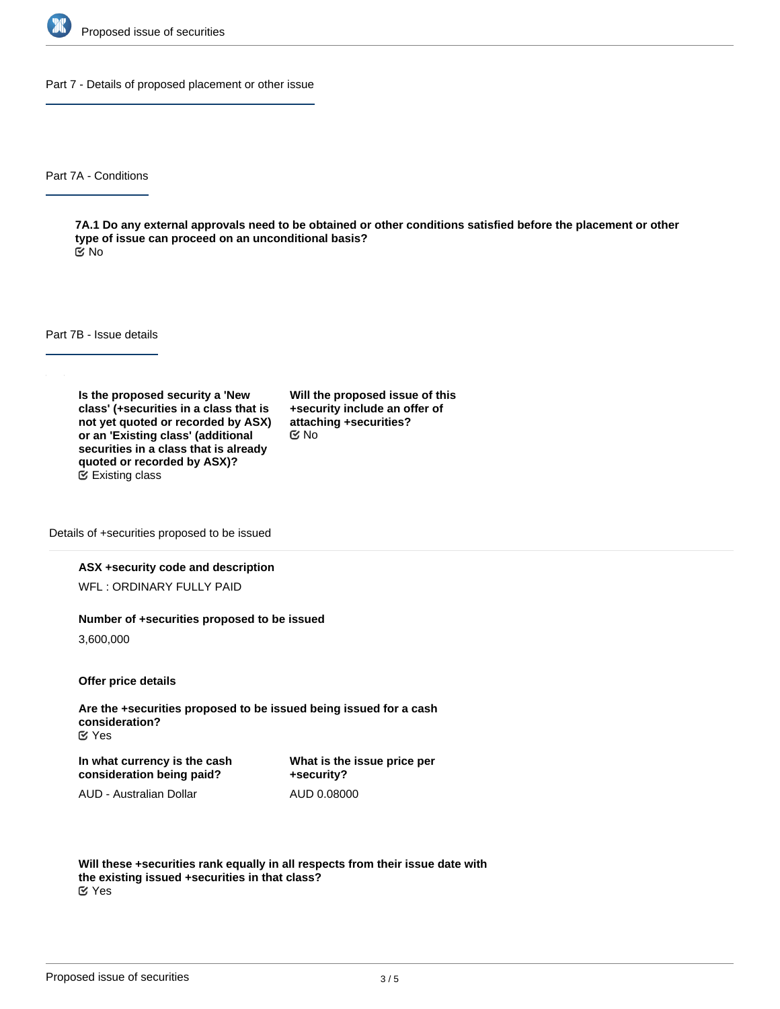

Part 7 - Details of proposed placement or other issue

Part 7A - Conditions

**7A.1 Do any external approvals need to be obtained or other conditions satisfied before the placement or other type of issue can proceed on an unconditional basis?** No

Part 7B - Issue details

**Is the proposed security a 'New class' (+securities in a class that is not yet quoted or recorded by ASX) or an 'Existing class' (additional securities in a class that is already quoted or recorded by ASX)?** Existing class

**Will the proposed issue of this +security include an offer of attaching +securities?** No

Details of +securities proposed to be issued

### **ASX +security code and description**

WFL : ORDINARY FULLY PAID

#### **Number of +securities proposed to be issued**

3,600,000

**Offer price details**

**Are the +securities proposed to be issued being issued for a cash consideration?** Yes

**In what currency is the cash consideration being paid?**

**What is the issue price per +security?** AUD 0.08000

AUD - Australian Dollar

**Will these +securities rank equally in all respects from their issue date with the existing issued +securities in that class?** Yes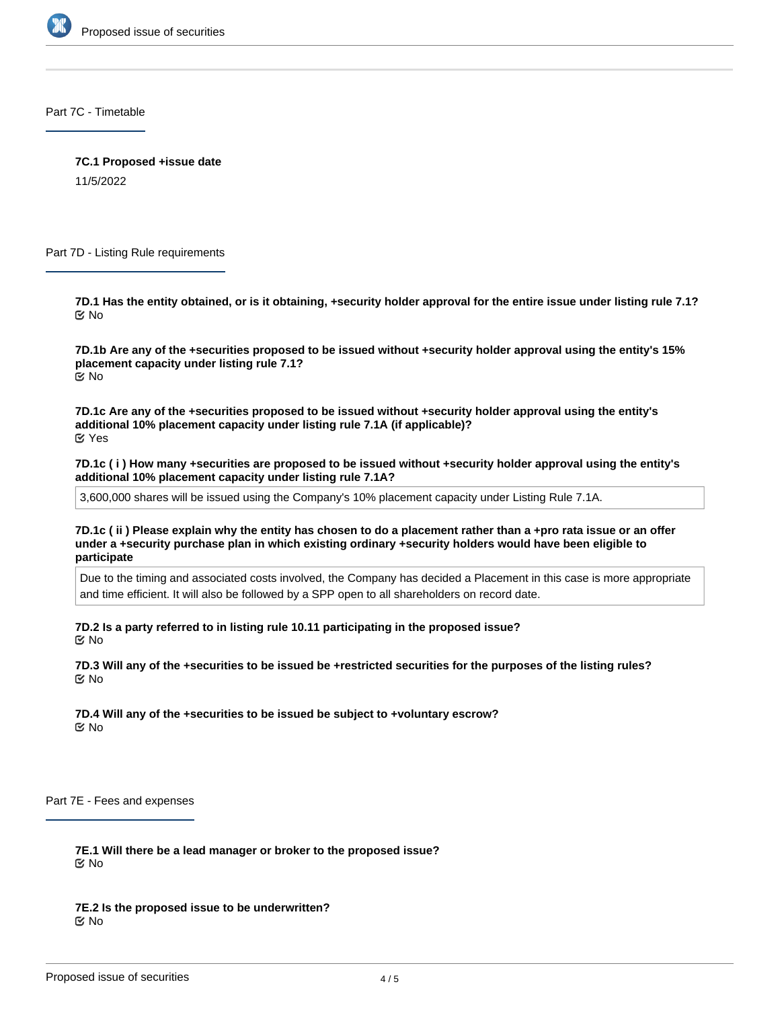

Part 7C - Timetable

**7C.1 Proposed +issue date**

11/5/2022

Part 7D - Listing Rule requirements

**7D.1 Has the entity obtained, or is it obtaining, +security holder approval for the entire issue under listing rule 7.1?** No

**7D.1b Are any of the +securities proposed to be issued without +security holder approval using the entity's 15% placement capacity under listing rule 7.1?** No

**7D.1c Are any of the +securities proposed to be issued without +security holder approval using the entity's additional 10% placement capacity under listing rule 7.1A (if applicable)?** Yes

**7D.1c ( i ) How many +securities are proposed to be issued without +security holder approval using the entity's additional 10% placement capacity under listing rule 7.1A?**

3,600,000 shares will be issued using the Company's 10% placement capacity under Listing Rule 7.1A.

**7D.1c ( ii ) Please explain why the entity has chosen to do a placement rather than a +pro rata issue or an offer under a +security purchase plan in which existing ordinary +security holders would have been eligible to participate**

Due to the timing and associated costs involved, the Company has decided a Placement in this case is more appropriate and time efficient. It will also be followed by a SPP open to all shareholders on record date.

**7D.2 Is a party referred to in listing rule 10.11 participating in the proposed issue?** No

**7D.3 Will any of the +securities to be issued be +restricted securities for the purposes of the listing rules?** No

**7D.4 Will any of the +securities to be issued be subject to +voluntary escrow?** No

Part 7E - Fees and expenses

**7E.1 Will there be a lead manager or broker to the proposed issue?** No

**7E.2 Is the proposed issue to be underwritten?** No